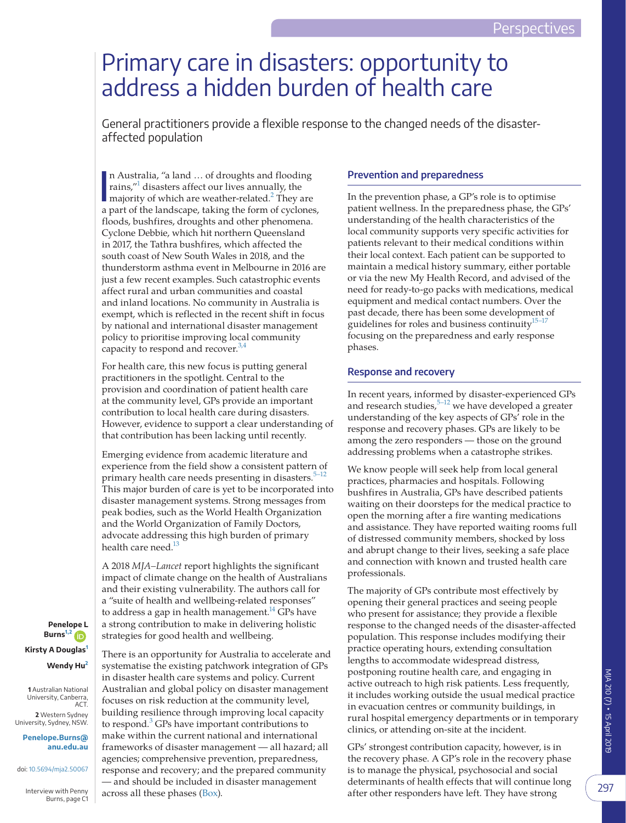# Primary care in disasters: opportunity to address a hidden burden of health care

General practitioners provide a flexible response to the changed needs of the disasteraffected population

I n Australia, "a land … of droughts and flooding rains,"<sup>1</sup> disasters affect our lives annually, the majority of which are weather-related.<sup>[2](#page-3-1)</sup> They are a part of the landscape, taking the form of cyclones, floods, bushfires, droughts and other phenomena. Cyclone Debbie, which hit northern Queensland in 2017, the Tathra bushfires, which affected the south coast of New South Wales in 2018, and the thunderstorm asthma event in Melbourne in 2016 are just a few recent examples. Such catastrophic events affect rural and urban communities and coastal and inland locations. No community in Australia is exempt, which is reflected in the recent shift in focus by national and international disaster management policy to prioritise improving local community capacity to respond and recover. $3/4$ 

For health care, this new focus is putting general practitioners in the spotlight. Central to the provision and coordination of patient health care at the community level, GPs provide an important contribution to local health care during disasters. However, evidence to support a clear understanding of that contribution has been lacking until recently.

Emerging evidence from academic literature and experience from the field show a consistent pattern of primary health care needs presenting in disasters.<sup>5-12</sup> This major burden of care is yet to be incorporated into disaster management systems. Strong messages from peak bodies, such as the World Health Organization and the World Organization of Family Doctors, advocate addressing this high burden of primary health care need.<sup>[13](#page-3-4)</sup>

A 2018 *MJA–Lancet* report highlights the significant impact of climate change on the health of Australians and their existing vulnerability. The authors call for a "suite of health and wellbeing-related responses" to address a gap in health management.<sup>14</sup> GPs have a strong contribution to make in delivering holistic strategies for good health and wellbeing.

**Penel[ope L](https://orcid.org/0000-0002-2484-043X)  Burns[1,2](#page-0-0) Kirsty A Douglas[1](#page-0-0) Wendy Hu[2](#page-0-1)**

<span id="page-0-1"></span><span id="page-0-0"></span>**1** Australian National University, Canberra, ACT<sup>.</sup>

**2** Western Sydney University, Sydney, NSW.

**[Penelope.Burns@](mailto:Penelope.Burns@anu.edu.au
) [anu.edu.au](mailto:Penelope.Burns@anu.edu.au
)**

doi: [10.5694/mja2.50067](https://doi.org/10.5694/mja2.50067)

Interview with Penny Burns, page C1

There is an opportunity for Australia to accelerate and systematise the existing patchwork integration of GPs in disaster health care systems and policy. Current Australian and global policy on disaster management focuses on risk reduction at the community level, building resilience through improving local capacity to respond. $3$  GPs have important contributions to make within the current national and international frameworks of disaster management — all hazard; all agencies; comprehensive prevention, preparedness, response and recovery; and the prepared community

— and should be included in disaster management across all these phases [\(Box\)](#page-1-0).

## **Prevention and preparedness**

In the prevention phase, a GP's role is to optimise patient wellness. In the preparedness phase, the GPs' understanding of the health characteristics of the local community supports very specific activities for patients relevant to their medical conditions within their local context. Each patient can be supported to maintain a medical history summary, either portable or via the new My Health Record, and advised of the need for ready-to-go packs with medications, medical equipment and medical contact numbers. Over the past decade, there has been some development of guidelines for roles and business continuity $15-17$ focusing on the preparedness and early response phases.

## **Response and recovery**

In recent years, informed by disaster-experienced GPs and research studies,  $5-12$  we have developed a greater understanding of the key aspects of GPs' role in the response and recovery phases. GPs are likely to be among the zero responders — those on the ground addressing problems when a catastrophe strikes.

We know people will seek help from local general practices, pharmacies and hospitals. Following bushfires in Australia, GPs have described patients waiting on their doorsteps for the medical practice to open the morning after a fire wanting medications and assistance. They have reported waiting rooms full of distressed community members, shocked by loss and abrupt change to their lives, seeking a safe place and connection with known and trusted health care professionals.

The majority of GPs contribute most effectively by opening their general practices and seeing people who present for assistance; they provide a flexible response to the changed needs of the disaster-affected population. This response includes modifying their practice operating hours, extending consultation lengths to accommodate widespread distress, postponing routine health care, and engaging in active outreach to high risk patients. Less frequently, it includes working outside the usual medical practice in evacuation centres or community buildings, in rural hospital emergency departments or in temporary clinics, or attending on-site at the incident.

GPs' strongest contribution capacity, however, is in the recovery phase. A GP's role in the recovery phase is to manage the physical, psychosocial and social determinants of health effects that will continue long after other responders have left. They have strong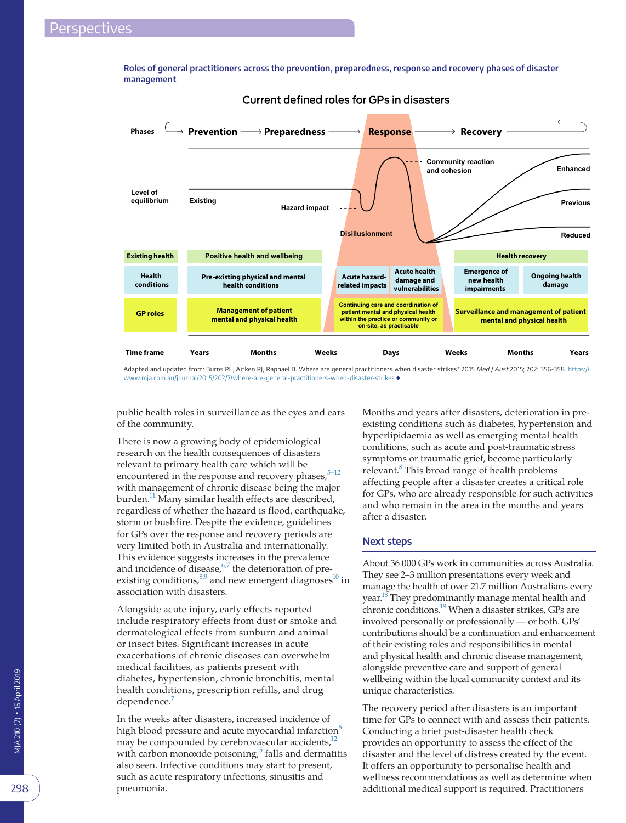<span id="page-1-0"></span>

public health roles in surveillance as the eyes and ears of the community.

There is now a growing body of epidemiological research on the health consequences of disasters relevant to primary health care which will be encountered in the response and recovery phases,  $5-12$ with management of chronic disease being the major burden.<sup>11</sup> Many similar health effects are described, regardless of whether the hazard is flood, earthquake, storm or bushfire. Despite the evidence, guidelines for GPs over the response and recovery periods are very limited both in Australia and internationally. This evidence suggests increases in the prevalence and incidence of disease, $6,7$  the deterioration of preexisting conditions,  $8.9$  and new emergent diagnoses<sup>10</sup> in association with disasters.

Alongside acute injury, early effects reported include respiratory effects from dust or smoke and dermatological effects from sunburn and animal or insect bites. Significant increases in acute exacerbations of chronic diseases can overwhelm medical facilities, as patients present with diabetes, hypertension, chronic bronchitis, mental health conditions, prescription refills, and drug dependence.

In the weeks after disasters, increased incidence of high blood pressure and acute myocardial infarction<sup>[6](#page-3-8)</sup> may be compounded by cerebrovascular accidents,<sup>[12](#page-3-12)</sup> with carbon monoxide poisoning, $5$  falls and dermatitis also seen. Infective conditions may start to present, such as acute respiratory infections, sinusitis and pneumonia.

Months and years after disasters, deterioration in preexisting conditions such as diabetes, hypertension and hyperlipidaemia as well as emerging mental health conditions, such as acute and post-traumatic stress symptoms or traumatic grief, become particularly relevant.<sup>[8](#page-3-9)</sup> This broad range of health problems affecting people after a disaster creates a critical role for GPs, who are already responsible for such activities and who remain in the area in the months and years after a disaster.

#### **Next steps**

About 36 000 GPs work in communities across Australia. They see 2–3 million presentations every week and manage the health of over 21.7 million Australians every year.<sup>18</sup> They predominantly manage mental health and chronic conditions.<sup>19</sup> When a disaster strikes, GPs are involved personally or professionally — or both. GPs' contributions should be a continuation and enhancement of their existing roles and responsibilities in mental and physical health and chronic disease management, alongside preventive care and support of general wellbeing within the local community context and its unique characteristics.

The recovery period after disasters is an important time for GPs to connect with and assess their patients. Conducting a brief post-disaster health check provides an opportunity to assess the effect of the disaster and the level of distress created by the event. It offers an opportunity to personalise health and wellness recommendations as well as determine when additional medical support is required. Practitioners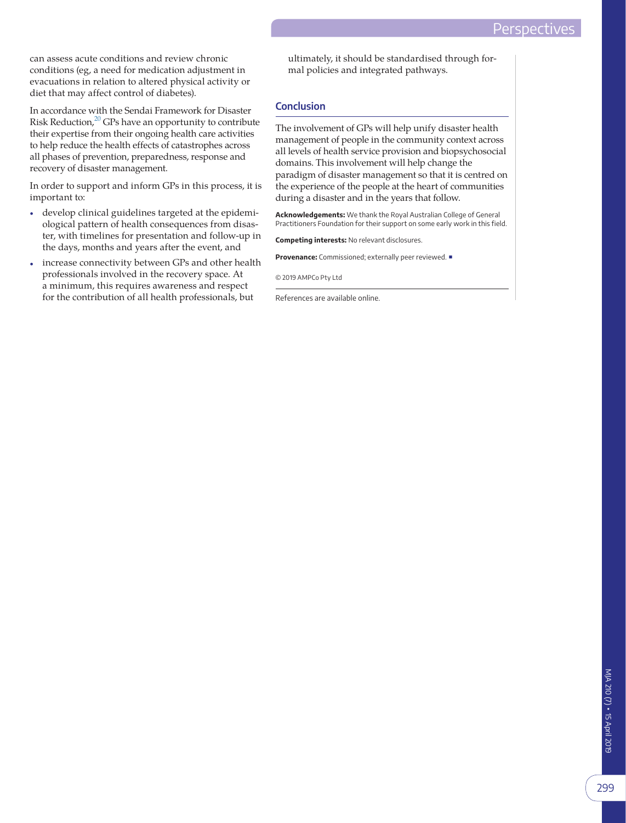can assess acute conditions and review chronic conditions (eg, a need for medication adjustment in evacuations in relation to altered physical activity or diet that may affect control of diabetes).

In accordance with the Sendai Framework for Disaster Risk Reduction, $^{20}$  GPs have an opportunity to contribute their expertise from their ongoing health care activities to help reduce the health effects of catastrophes across all phases of prevention, preparedness, response and recovery of disaster management.

In order to support and inform GPs in this process, it is important to:

- develop clinical guidelines targeted at the epidemiological pattern of health consequences from disaster, with timelines for presentation and follow-up in the days, months and years after the event, and
- increase connectivity between GPs and other health professionals involved in the recovery space. At a minimum, this requires awareness and respect for the contribution of all health professionals, but

ultimately, it should be standardised through formal policies and integrated pathways.

### **Conclusion**

The involvement of GPs will help unify disaster health management of people in the community context across all levels of health service provision and biopsychosocial domains. This involvement will help change the paradigm of disaster management so that it is centred on the experience of the people at the heart of communities during a disaster and in the years that follow.

**Acknowledgements:** We thank the Royal Australian College of General Practitioners Foundation for their support on some early work in this field.

**Competing interests:** No relevant disclosures.

**Provenance:** Commissioned; externally peer reviewed. ■

© 2019 AMPCo Pty Ltd

References are available online.